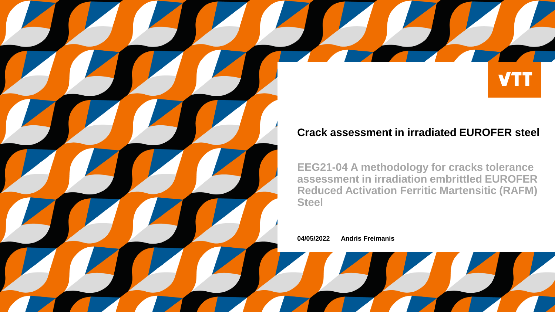#### **Crack assessment in irradiated EUROFER steel**

**VTT** 

**EEG21-04 A methodology for cracks tolerance assessment in irradiation embrittled EUROFER Reduced Activation Ferritic Martensitic (RAFM) Steel**

**04/05/2022 Andris Freimanis**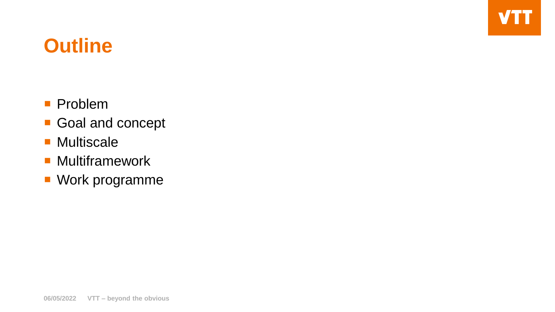### **Outline**

- **Problem**
- Goal and concept
- **Multiscale**
- **Multiframework**
- Work programme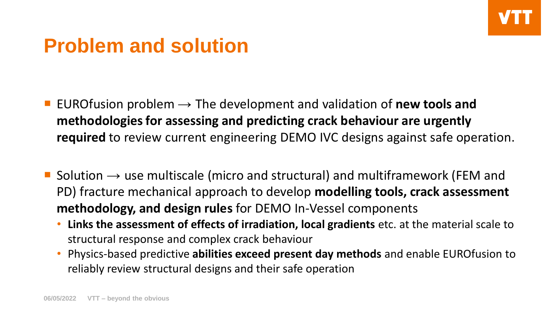#### **Problem and solution**

- EURO fusion problem  $\rightarrow$  The development and validation of **new tools and methodologies for assessing and predicting crack behaviour are urgently required** to review current engineering DEMO IVC designs against safe operation.
- Solution  $\rightarrow$  use multiscale (micro and structural) and multiframework (FEM and PD) fracture mechanical approach to develop **modelling tools, crack assessment methodology, and design rules** for DEMO In-Vessel components
	- **Links the assessment of effects of irradiation, local gradients** etc. at the material scale to structural response and complex crack behaviour
	- Physics-based predictive **abilities exceed present day methods** and enable EUROfusion to reliably review structural designs and their safe operation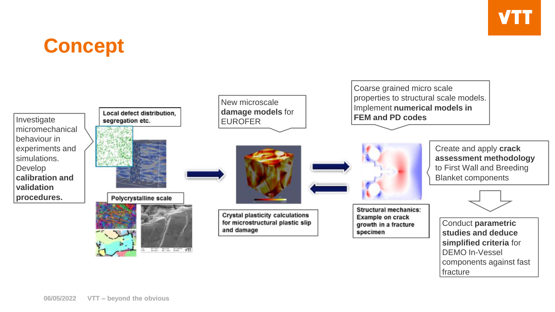# **Concept**

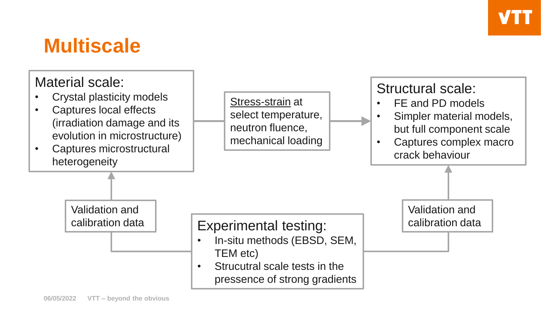#### **Multiscale**

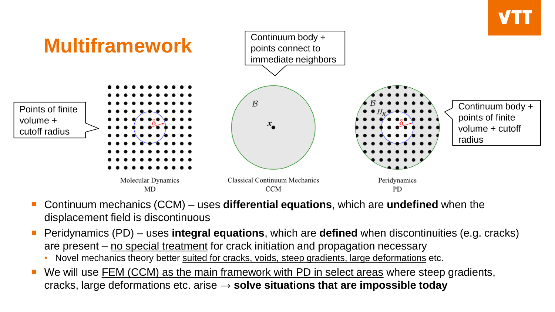

- Continuum mechanics (CCM) uses **differential equations**, which are **undefined** when the displacement field is discontinuous
- Peridynamics (PD) uses **integral equations**, which are **defined** when discontinuities (e.g. cracks) are present – no special treatment for crack initiation and propagation necessary
	- Novel mechanics theory better suited for cracks, voids, steep gradients, large deformations etc.
- We will use FEM (CCM) as the main framework with PD in select areas where steep gradients, cracks, large deformations etc. arise → **solve situations that are impossible today**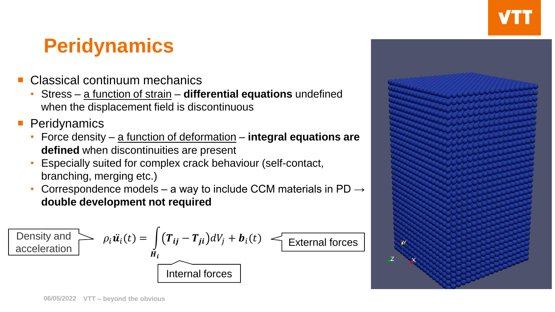## **Peridynamics**

- Classical continuum mechanics
	- Stress a function of strain **differential equations** undefined when the displacement field is discontinuous
- **Peridynamics** 
	- Force density a function of deformation **integral equations are defined** when discontinuities are present
	- Especially suited for complex crack behaviour (self-contact, branching, merging etc.)
	- Correspondence models a way to include CCM materials in PD  $\rightarrow$ **double development not required**

$$
\boxed{\text{Density and} \atop \text{acceleration}} \qquad \rho_i \ddot{\boldsymbol{u}}_i(t) = \int_{\boldsymbol{H}_i} (\boldsymbol{T}_{ij} - \boldsymbol{T}_{ji}) dV_j + \boldsymbol{b}_i(t) \leq \text{External forces}
$$
\nInternal forces

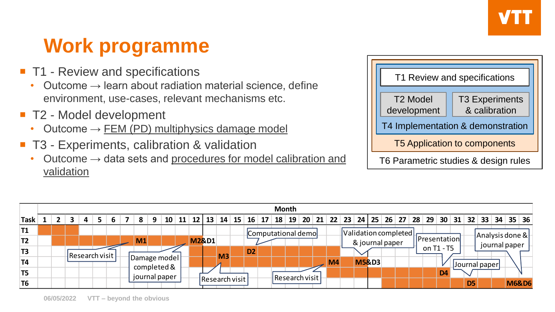# **Work programme**

- T1 Review and specifications
	- Outcome  $\rightarrow$  learn about radiation material science, define environment, use-cases, relevant mechanisms etc.
- T2 Model development
	- Outcome  $\rightarrow$  FEM (PD) multiphysics damage model
- T3 Experiments, calibration & validation
	- Outcome  $\rightarrow$  data sets and procedures for model calibration and validation

| T1 Review and specifications         |                                        |  |
|--------------------------------------|----------------------------------------|--|
| T <sub>2</sub> Model<br>development  | <b>T3 Experiments</b><br>& calibration |  |
| T4 Implementation & demonstration    |                                        |  |
| <b>T5 Application to components</b>  |                                        |  |
| T6 Parametric studies & design rules |                                        |  |

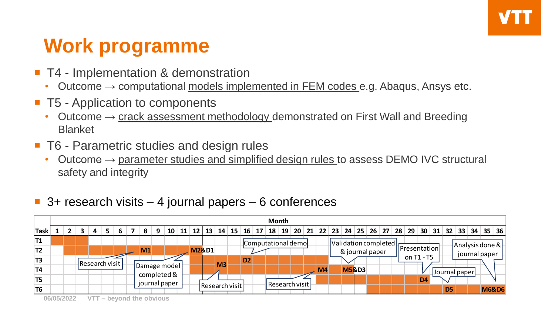# **Work programme**

- T4 Implementation & demonstration
	- Outcome  $\rightarrow$  computational models implemented in FEM codes e.g. Abaqus, Ansys etc.
- T5 Application to components
	- Outcome  $\rightarrow$  crack assessment methodology demonstrated on First Wall and Breeding Blanket
- T6 Parametric studies and design rules
	- Outcome  $\rightarrow$  parameter studies and simplified design rules to assess DEMO IVC structural safety and integrity

#### $\blacksquare$  3+ research visits – 4 journal papers – 6 conferences